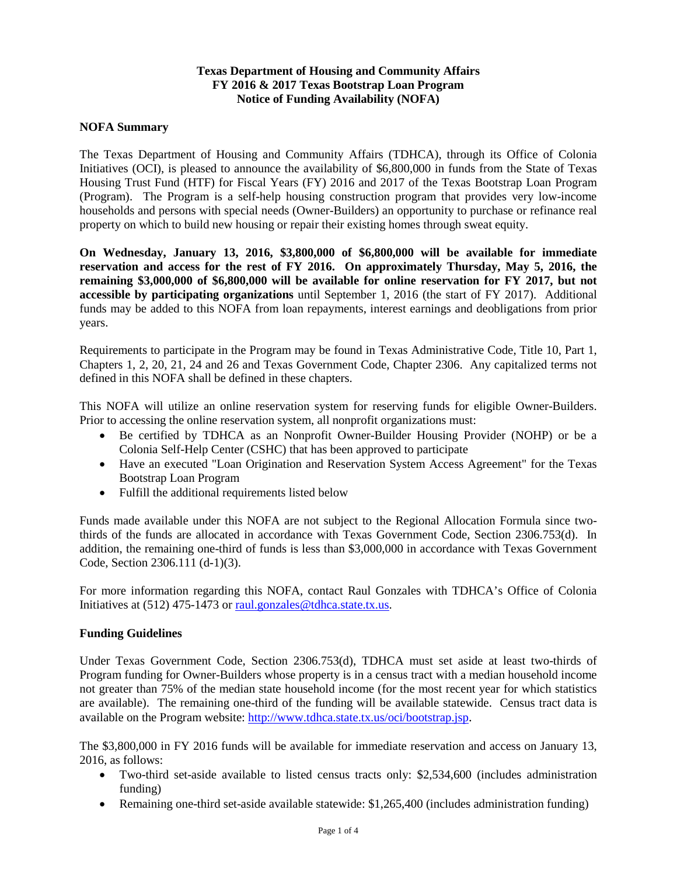# **Texas Department of Housing and Community Affairs FY 2016 & 2017 Texas Bootstrap Loan Program Notice of Funding Availability (NOFA)**

## **NOFA Summary**

The Texas Department of Housing and Community Affairs (TDHCA), through its Office of Colonia Initiatives (OCI), is pleased to announce the availability of \$6,800,000 in funds from the State of Texas Housing Trust Fund (HTF) for Fiscal Years (FY) 2016 and 2017 of the Texas Bootstrap Loan Program (Program). The Program is a self-help housing construction program that provides very low-income households and persons with special needs (Owner-Builders) an opportunity to purchase or refinance real property on which to build new housing or repair their existing homes through sweat equity.

**On Wednesday, January 13, 2016, \$3,800,000 of \$6,800,000 will be available for immediate reservation and access for the rest of FY 2016. On approximately Thursday, May 5, 2016, the remaining \$3,000,000 of \$6,800,000 will be available for online reservation for FY 2017, but not accessible by participating organizations** until September 1, 2016 (the start of FY 2017). Additional funds may be added to this NOFA from loan repayments, interest earnings and deobligations from prior years.

Requirements to participate in the Program may be found in Texas Administrative Code, Title 10, Part 1, Chapters 1, 2, 20, 21, 24 and 26 and Texas Government Code, Chapter 2306. Any capitalized terms not defined in this NOFA shall be defined in these chapters.

This NOFA will utilize an online reservation system for reserving funds for eligible Owner-Builders. Prior to accessing the online reservation system, all nonprofit organizations must:

- Be certified by TDHCA as an Nonprofit Owner-Builder Housing Provider (NOHP) or be a Colonia Self-Help Center (CSHC) that has been approved to participate
- Have an executed "Loan Origination and Reservation System Access Agreement" for the Texas Bootstrap Loan Program
- Fulfill the additional requirements listed below

Funds made available under this NOFA are not subject to the Regional Allocation Formula since twothirds of the funds are allocated in accordance with Texas Government Code, Section 2306.753(d). In addition, the remaining one-third of funds is less than \$3,000,000 in accordance with Texas Government Code, Section 2306.111 (d-1)(3).

For more information regarding this NOFA, contact Raul Gonzales with TDHCA's Office of Colonia Initiatives at (512) 475-1473 or [raul.gonzales@tdhca.state.tx.us.](mailto:raul.gonzales@tdhca.state.tx.us)

## **Funding Guidelines**

Under Texas Government Code, Section 2306.753(d), TDHCA must set aside at least two-thirds of Program funding for Owner-Builders whose property is in a census tract with a median household income not greater than 75% of the median state household income (for the most recent year for which statistics are available). The remaining one-third of the funding will be available statewide. Census tract data is available on the Program website: [http://www.tdhca.state.tx.us/oci/bootstrap.jsp.](http://www.tdhca.state.tx.us/oci/bootstrap.jsp)

The \$3,800,000 in FY 2016 funds will be available for immediate reservation and access on January 13, 2016, as follows:

- Two-third set-aside available to listed census tracts only: \$2,534,600 (includes administration funding)
- Remaining one-third set-aside available statewide: \$1,265,400 (includes administration funding)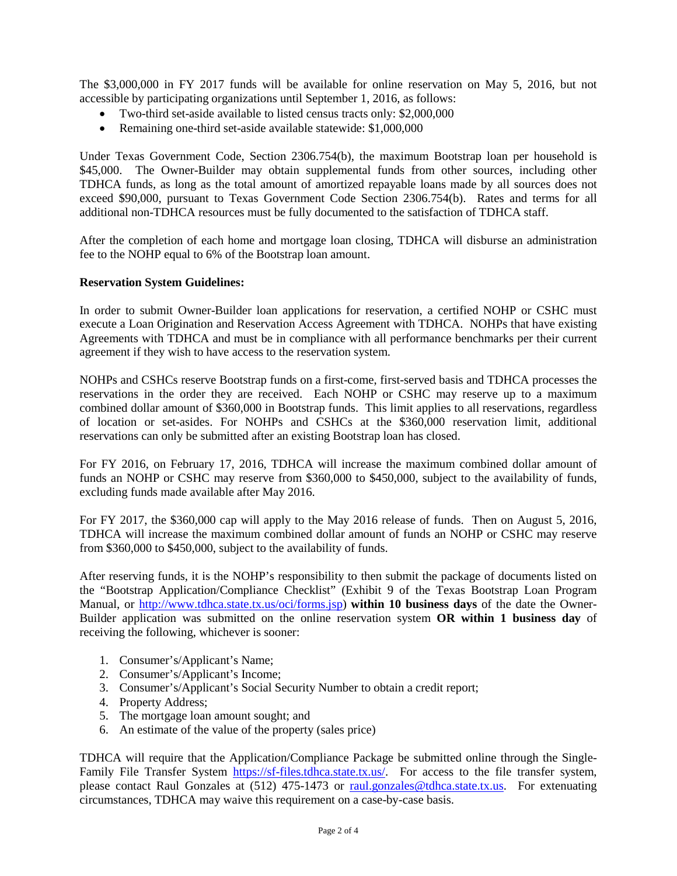The \$3,000,000 in FY 2017 funds will be available for online reservation on May 5, 2016, but not accessible by participating organizations until September 1, 2016, as follows:

- Two-third set-aside available to listed census tracts only: \$2,000,000
- Remaining one-third set-aside available statewide: \$1,000,000

Under Texas Government Code, Section 2306.754(b), the maximum Bootstrap loan per household is \$45,000. The Owner-Builder may obtain supplemental funds from other sources, including other TDHCA funds, as long as the total amount of amortized repayable loans made by all sources does not exceed \$90,000, pursuant to Texas Government Code Section 2306.754(b). Rates and terms for all additional non-TDHCA resources must be fully documented to the satisfaction of TDHCA staff.

After the completion of each home and mortgage loan closing, TDHCA will disburse an administration fee to the NOHP equal to 6% of the Bootstrap loan amount.

#### **Reservation System Guidelines:**

In order to submit Owner-Builder loan applications for reservation, a certified NOHP or CSHC must execute a Loan Origination and Reservation Access Agreement with TDHCA. NOHPs that have existing Agreements with TDHCA and must be in compliance with all performance benchmarks per their current agreement if they wish to have access to the reservation system.

NOHPs and CSHCs reserve Bootstrap funds on a first-come, first-served basis and TDHCA processes the reservations in the order they are received. Each NOHP or CSHC may reserve up to a maximum combined dollar amount of \$360,000 in Bootstrap funds. This limit applies to all reservations, regardless of location or set-asides. For NOHPs and CSHCs at the \$360,000 reservation limit, additional reservations can only be submitted after an existing Bootstrap loan has closed.

For FY 2016, on February 17, 2016, TDHCA will increase the maximum combined dollar amount of funds an NOHP or CSHC may reserve from \$360,000 to \$450,000, subject to the availability of funds, excluding funds made available after May 2016.

For FY 2017, the \$360,000 cap will apply to the May 2016 release of funds. Then on August 5, 2016, TDHCA will increase the maximum combined dollar amount of funds an NOHP or CSHC may reserve from \$360,000 to \$450,000, subject to the availability of funds.

After reserving funds, it is the NOHP's responsibility to then submit the package of documents listed on the "Bootstrap Application/Compliance Checklist" (Exhibit 9 of the Texas Bootstrap Loan Program Manual, or [http://www.tdhca.state.tx.us/oci/forms.jsp\)](http://www.tdhca.state.tx.us/oci/forms.jsp) **within 10 business days** of the date the Owner-Builder application was submitted on the online reservation system **OR within 1 business day** of receiving the following, whichever is sooner:

- 1. Consumer's/Applicant's Name;
- 2. Consumer's/Applicant's Income;
- 3. Consumer's/Applicant's Social Security Number to obtain a credit report;
- 4. Property Address;
- 5. The mortgage loan amount sought; and
- 6. An estimate of the value of the property (sales price)

TDHCA will require that the Application/Compliance Package be submitted online through the SingleFamily File Transfer System [https://sf-files.tdhca.state.tx.us/.](https://sf-files.tdhca.state.tx.us/) For access to the file transfer system, please contact Raul Gonzales at (512) 475-1473 or [raul.gonzales@tdhca.state.tx.us.](mailto:raul.gonzales@tdhca.state.tx.us) For extenuating circumstances, TDHCA may waive this requirement on a case-by-case basis.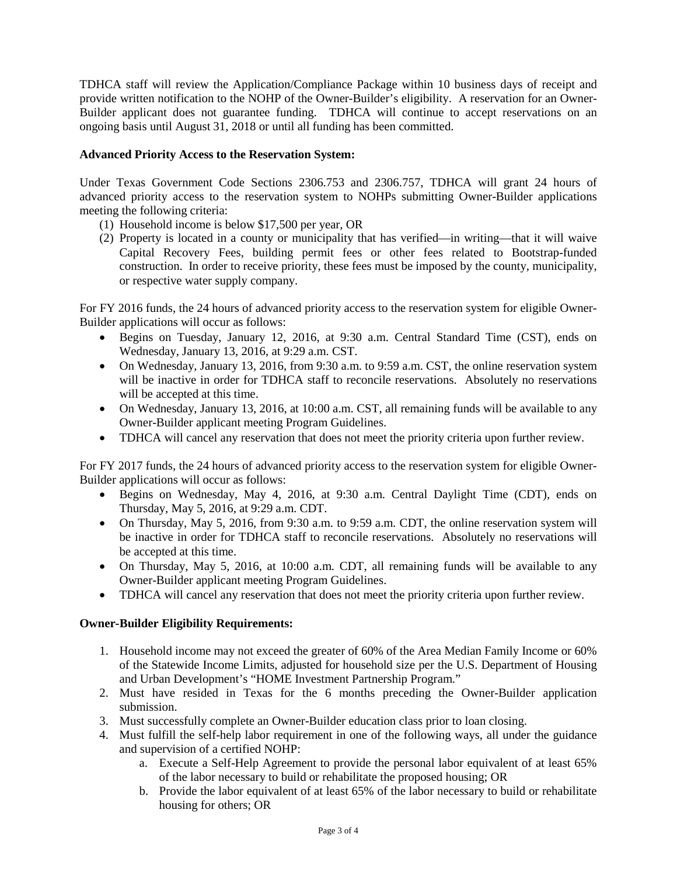TDHCA staff will review the Application/Compliance Package within 10 business days of receipt and provide written notification to the NOHP of the Owner-Builder's eligibility. A reservation for an Owner-Builder applicant does not guarantee funding. TDHCA will continue to accept reservations on an ongoing basis until August 31, 2018 or until all funding has been committed.

# **Advanced Priority Access to the Reservation System:**

Under Texas Government Code Sections 2306.753 and 2306.757, TDHCA will grant 24 hours of advanced priority access to the reservation system to NOHPs submitting Owner-Builder applications meeting the following criteria:

- (1) Household income is below \$17,500 per year, OR
- (2) Property is located in a county or municipality that has verified—in writing—that it will waive Capital Recovery Fees, building permit fees or other fees related to Bootstrap-funded construction. In order to receive priority, these fees must be imposed by the county, municipality, or respective water supply company.

For FY 2016 funds, the 24 hours of advanced priority access to the reservation system for eligible Owner-Builder applications will occur as follows:

- Begins on Tuesday, January 12, 2016, at 9:30 a.m. Central Standard Time (CST), ends on Wednesday, January 13, 2016, at 9:29 a.m. CST.
- On Wednesday, January 13, 2016, from 9:30 a.m. to 9:59 a.m. CST, the online reservation system will be inactive in order for TDHCA staff to reconcile reservations. Absolutely no reservations will be accepted at this time.
- On Wednesday, January 13, 2016, at 10:00 a.m. CST, all remaining funds will be available to any Owner-Builder applicant meeting Program Guidelines.
- TDHCA will cancel any reservation that does not meet the priority criteria upon further review.

For FY 2017 funds, the 24 hours of advanced priority access to the reservation system for eligible Owner-Builder applications will occur as follows:

- Begins on Wednesday, May 4, 2016, at 9:30 a.m. Central Daylight Time (CDT), ends on Thursday, May 5, 2016, at 9:29 a.m. CDT.
- On Thursday, May 5, 2016, from 9:30 a.m. to 9:59 a.m. CDT, the online reservation system will be inactive in order for TDHCA staff to reconcile reservations. Absolutely no reservations will be accepted at this time.
- On Thursday, May 5, 2016, at 10:00 a.m. CDT, all remaining funds will be available to any Owner-Builder applicant meeting Program Guidelines.
- TDHCA will cancel any reservation that does not meet the priority criteria upon further review.

## **Owner-Builder Eligibility Requirements:**

- 1. Household income may not exceed the greater of 60% of the Area Median Family Income or 60% of the Statewide Income Limits, adjusted for household size per the U.S. Department of Housing and Urban Development's "HOME Investment Partnership Program."
- 2. Must have resided in Texas for the 6 months preceding the Owner-Builder application submission.
- 3. Must successfully complete an Owner-Builder education class prior to loan closing.
- 4. Must fulfill the self-help labor requirement in one of the following ways, all under the guidance and supervision of a certified NOHP:
	- a. Execute a Self-Help Agreement to provide the personal labor equivalent of at least 65% of the labor necessary to build or rehabilitate the proposed housing; OR
	- b. Provide the labor equivalent of at least 65% of the labor necessary to build or rehabilitate housing for others; OR